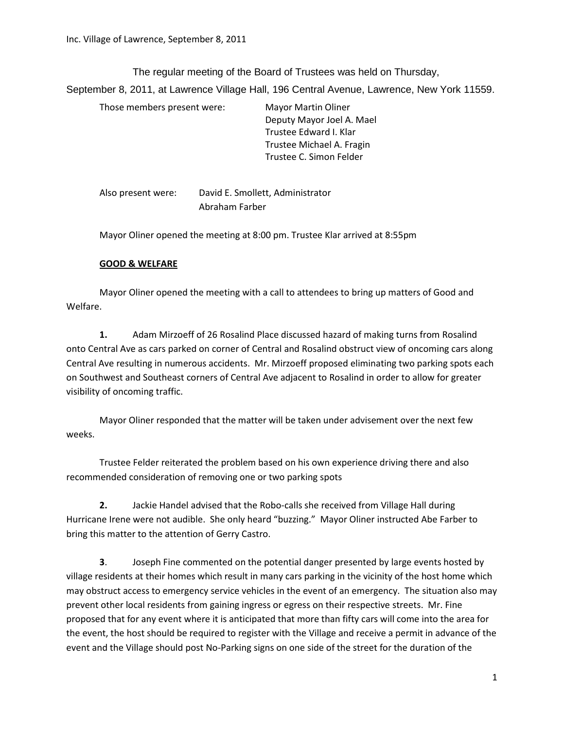The regular meeting of the Board of Trustees was held on Thursday,

September 8, 2011, at Lawrence Village Hall, 196 Central Avenue, Lawrence, New York 11559.

| Those members present were: | <b>Mayor Martin Oliner</b> |
|-----------------------------|----------------------------|
|                             | Deputy Mayor Joel A. Mael  |
|                             | Trustee Edward I. Klar     |
|                             | Trustee Michael A. Fragin  |
|                             | Trustee C. Simon Felder    |

Also present were: David E. Smollett, Administrator Abraham Farber

Mayor Oliner opened the meeting at 8:00 pm. Trustee Klar arrived at 8:55pm

# **GOOD & WELFARE**

Mayor Oliner opened the meeting with a call to attendees to bring up matters of Good and Welfare.

**1.** Adam Mirzoeff of 26 Rosalind Place discussed hazard of making turns from Rosalind onto Central Ave as cars parked on corner of Central and Rosalind obstruct view of oncoming cars along Central Ave resulting in numerous accidents. Mr. Mirzoeff proposed eliminating two parking spots each on Southwest and Southeast corners of Central Ave adjacent to Rosalind in order to allow for greater visibility of oncoming traffic.

Mayor Oliner responded that the matter will be taken under advisement over the next few weeks.

Trustee Felder reiterated the problem based on his own experience driving there and also recommended consideration of removing one or two parking spots

**2.** Jackie Handel advised that the Robo-calls she received from Village Hall during Hurricane Irene were not audible. She only heard "buzzing." Mayor Oliner instructed Abe Farber to bring this matter to the attention of Gerry Castro.

**3**. Joseph Fine commented on the potential danger presented by large events hosted by village residents at their homes which result in many cars parking in the vicinity of the host home which may obstruct access to emergency service vehicles in the event of an emergency. The situation also may prevent other local residents from gaining ingress or egress on their respective streets. Mr. Fine proposed that for any event where it is anticipated that more than fifty cars will come into the area for the event, the host should be required to register with the Village and receive a permit in advance of the event and the Village should post No-Parking signs on one side of the street for the duration of the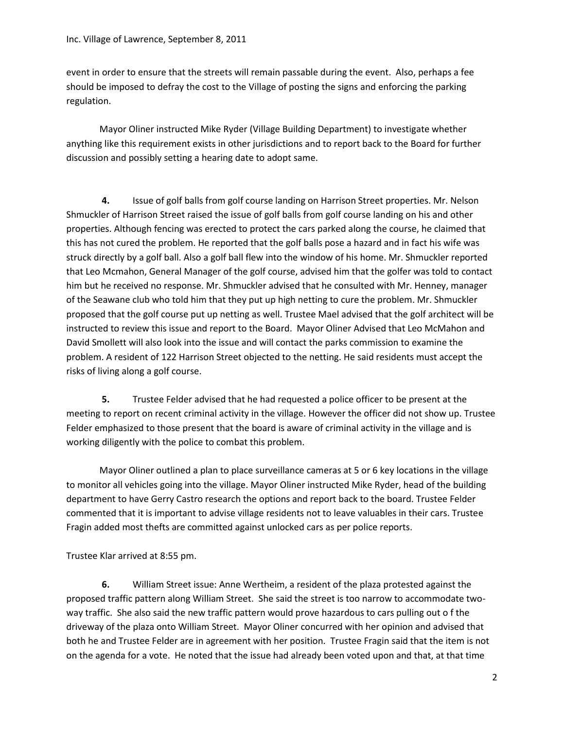event in order to ensure that the streets will remain passable during the event. Also, perhaps a fee should be imposed to defray the cost to the Village of posting the signs and enforcing the parking regulation.

Mayor Oliner instructed Mike Ryder (Village Building Department) to investigate whether anything like this requirement exists in other jurisdictions and to report back to the Board for further discussion and possibly setting a hearing date to adopt same.

**4.** Issue of golf balls from golf course landing on Harrison Street properties. Mr. Nelson Shmuckler of Harrison Street raised the issue of golf balls from golf course landing on his and other properties. Although fencing was erected to protect the cars parked along the course, he claimed that this has not cured the problem. He reported that the golf balls pose a hazard and in fact his wife was struck directly by a golf ball. Also a golf ball flew into the window of his home. Mr. Shmuckler reported that Leo Mcmahon, General Manager of the golf course, advised him that the golfer was told to contact him but he received no response. Mr. Shmuckler advised that he consulted with Mr. Henney, manager of the Seawane club who told him that they put up high netting to cure the problem. Mr. Shmuckler proposed that the golf course put up netting as well. Trustee Mael advised that the golf architect will be instructed to review this issue and report to the Board. Mayor Oliner Advised that Leo McMahon and David Smollett will also look into the issue and will contact the parks commission to examine the problem. A resident of 122 Harrison Street objected to the netting. He said residents must accept the risks of living along a golf course.

**5.** Trustee Felder advised that he had requested a police officer to be present at the meeting to report on recent criminal activity in the village. However the officer did not show up. Trustee Felder emphasized to those present that the board is aware of criminal activity in the village and is working diligently with the police to combat this problem.

Mayor Oliner outlined a plan to place surveillance cameras at 5 or 6 key locations in the village to monitor all vehicles going into the village. Mayor Oliner instructed Mike Ryder, head of the building department to have Gerry Castro research the options and report back to the board. Trustee Felder commented that it is important to advise village residents not to leave valuables in their cars. Trustee Fragin added most thefts are committed against unlocked cars as per police reports.

Trustee Klar arrived at 8:55 pm.

**6.** William Street issue: Anne Wertheim, a resident of the plaza protested against the proposed traffic pattern along William Street. She said the street is too narrow to accommodate twoway traffic. She also said the new traffic pattern would prove hazardous to cars pulling out o f the driveway of the plaza onto William Street. Mayor Oliner concurred with her opinion and advised that both he and Trustee Felder are in agreement with her position. Trustee Fragin said that the item is not on the agenda for a vote. He noted that the issue had already been voted upon and that, at that time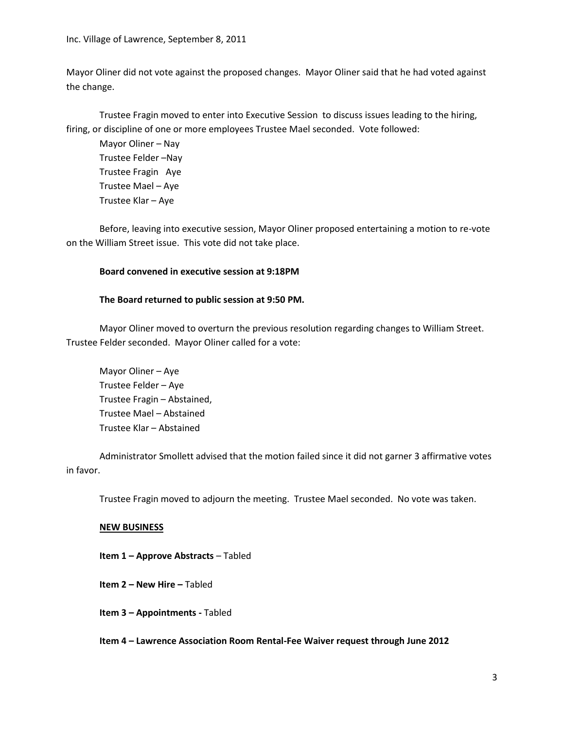Mayor Oliner did not vote against the proposed changes. Mayor Oliner said that he had voted against the change.

Trustee Fragin moved to enter into Executive Session to discuss issues leading to the hiring, firing, or discipline of one or more employees Trustee Mael seconded. Vote followed:

Mayor Oliner – Nay Trustee Felder –Nay Trustee Fragin Aye Trustee Mael – Aye Trustee Klar – Aye

Before, leaving into executive session, Mayor Oliner proposed entertaining a motion to re-vote on the William Street issue. This vote did not take place.

## **Board convened in executive session at 9:18PM**

## **The Board returned to public session at 9:50 PM.**

Mayor Oliner moved to overturn the previous resolution regarding changes to William Street. Trustee Felder seconded. Mayor Oliner called for a vote:

Mayor Oliner – Aye Trustee Felder – Aye Trustee Fragin – Abstained, Trustee Mael – Abstained Trustee Klar – Abstained

Administrator Smollett advised that the motion failed since it did not garner 3 affirmative votes in favor.

Trustee Fragin moved to adjourn the meeting. Trustee Mael seconded. No vote was taken.

## **NEW BUSINESS**

**Item 1 – Approve Abstracts** – Tabled

**Item 2 – New Hire –** Tabled

**Item 3 – Appointments -** Tabled

**Item 4 – Lawrence Association Room Rental-Fee Waiver request through June 2012**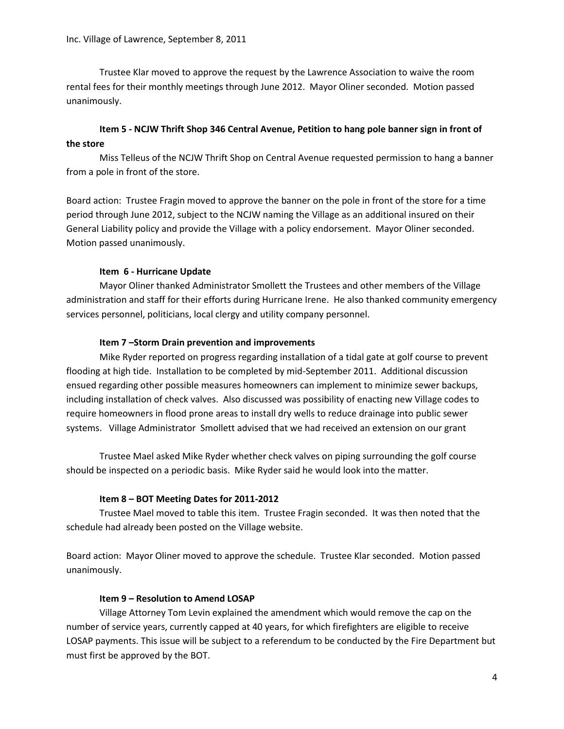Trustee Klar moved to approve the request by the Lawrence Association to waive the room rental fees for their monthly meetings through June 2012. Mayor Oliner seconded. Motion passed unanimously.

# **Item 5 - NCJW Thrift Shop 346 Central Avenue, Petition to hang pole banner sign in front of the store**

Miss Telleus of the NCJW Thrift Shop on Central Avenue requested permission to hang a banner from a pole in front of the store.

Board action: Trustee Fragin moved to approve the banner on the pole in front of the store for a time period through June 2012, subject to the NCJW naming the Village as an additional insured on their General Liability policy and provide the Village with a policy endorsement. Mayor Oliner seconded. Motion passed unanimously.

## **Item 6 - Hurricane Update**

Mayor Oliner thanked Administrator Smollett the Trustees and other members of the Village administration and staff for their efforts during Hurricane Irene. He also thanked community emergency services personnel, politicians, local clergy and utility company personnel.

## **Item 7 –Storm Drain prevention and improvements**

Mike Ryder reported on progress regarding installation of a tidal gate at golf course to prevent flooding at high tide. Installation to be completed by mid-September 2011. Additional discussion ensued regarding other possible measures homeowners can implement to minimize sewer backups, including installation of check valves. Also discussed was possibility of enacting new Village codes to require homeowners in flood prone areas to install dry wells to reduce drainage into public sewer systems. Village Administrator Smollett advised that we had received an extension on our grant

Trustee Mael asked Mike Ryder whether check valves on piping surrounding the golf course should be inspected on a periodic basis. Mike Ryder said he would look into the matter.

## **Item 8 – BOT Meeting Dates for 2011-2012**

Trustee Mael moved to table this item. Trustee Fragin seconded. It was then noted that the schedule had already been posted on the Village website.

Board action: Mayor Oliner moved to approve the schedule. Trustee Klar seconded. Motion passed unanimously.

## **Item 9 – Resolution to Amend LOSAP**

Village Attorney Tom Levin explained the amendment which would remove the cap on the number of service years, currently capped at 40 years, for which firefighters are eligible to receive LOSAP payments. This issue will be subject to a referendum to be conducted by the Fire Department but must first be approved by the BOT.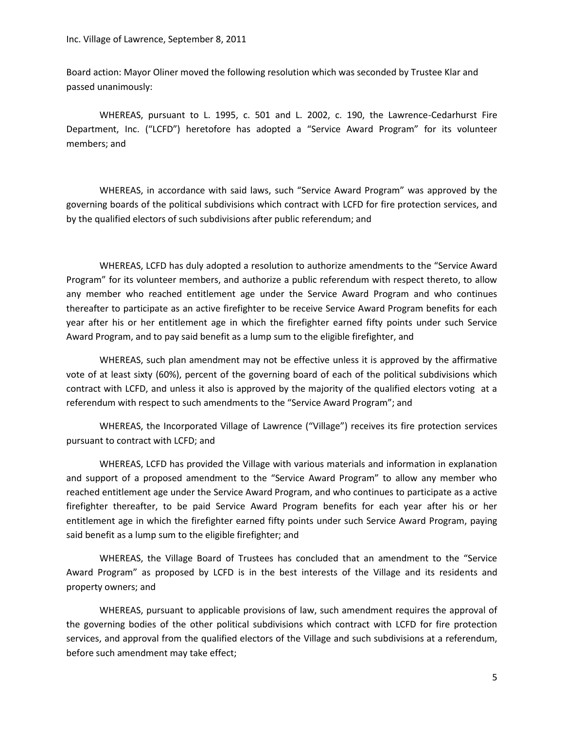Board action: Mayor Oliner moved the following resolution which was seconded by Trustee Klar and passed unanimously:

WHEREAS, pursuant to L. 1995, c. 501 and L. 2002, c. 190, the Lawrence-Cedarhurst Fire Department, Inc. ("LCFD") heretofore has adopted a "Service Award Program" for its volunteer members; and

WHEREAS, in accordance with said laws, such "Service Award Program" was approved by the governing boards of the political subdivisions which contract with LCFD for fire protection services, and by the qualified electors of such subdivisions after public referendum; and

WHEREAS, LCFD has duly adopted a resolution to authorize amendments to the "Service Award Program" for its volunteer members, and authorize a public referendum with respect thereto, to allow any member who reached entitlement age under the Service Award Program and who continues thereafter to participate as an active firefighter to be receive Service Award Program benefits for each year after his or her entitlement age in which the firefighter earned fifty points under such Service Award Program, and to pay said benefit as a lump sum to the eligible firefighter, and

WHEREAS, such plan amendment may not be effective unless it is approved by the affirmative vote of at least sixty (60%), percent of the governing board of each of the political subdivisions which contract with LCFD, and unless it also is approved by the majority of the qualified electors voting at a referendum with respect to such amendments to the "Service Award Program"; and

WHEREAS, the Incorporated Village of Lawrence ("Village") receives its fire protection services pursuant to contract with LCFD; and

WHEREAS, LCFD has provided the Village with various materials and information in explanation and support of a proposed amendment to the "Service Award Program" to allow any member who reached entitlement age under the Service Award Program, and who continues to participate as a active firefighter thereafter, to be paid Service Award Program benefits for each year after his or her entitlement age in which the firefighter earned fifty points under such Service Award Program, paying said benefit as a lump sum to the eligible firefighter; and

WHEREAS, the Village Board of Trustees has concluded that an amendment to the "Service Award Program" as proposed by LCFD is in the best interests of the Village and its residents and property owners; and

WHEREAS, pursuant to applicable provisions of law, such amendment requires the approval of the governing bodies of the other political subdivisions which contract with LCFD for fire protection services, and approval from the qualified electors of the Village and such subdivisions at a referendum, before such amendment may take effect;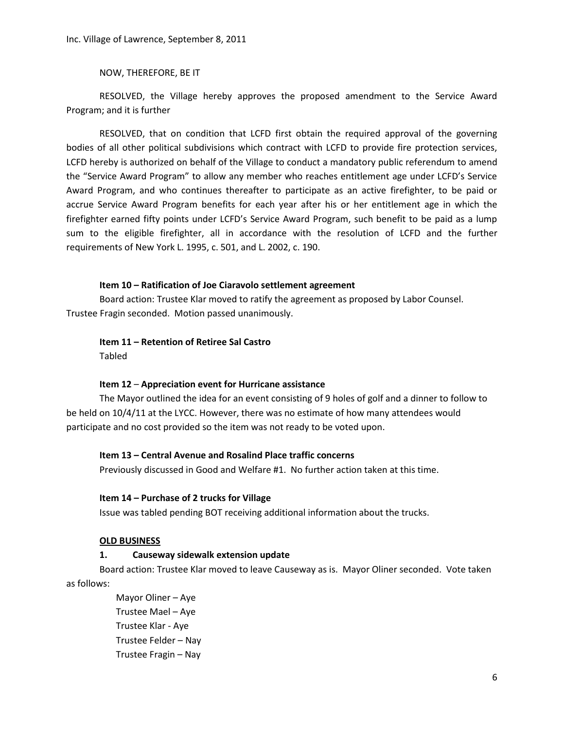NOW, THEREFORE, BE IT

RESOLVED, the Village hereby approves the proposed amendment to the Service Award Program; and it is further

RESOLVED, that on condition that LCFD first obtain the required approval of the governing bodies of all other political subdivisions which contract with LCFD to provide fire protection services, LCFD hereby is authorized on behalf of the Village to conduct a mandatory public referendum to amend the "Service Award Program" to allow any member who reaches entitlement age under LCFD's Service Award Program, and who continues thereafter to participate as an active firefighter, to be paid or accrue Service Award Program benefits for each year after his or her entitlement age in which the firefighter earned fifty points under LCFD's Service Award Program, such benefit to be paid as a lump sum to the eligible firefighter, all in accordance with the resolution of LCFD and the further requirements of New York L. 1995, c. 501, and L. 2002, c. 190.

### **Item 10 – Ratification of Joe Ciaravolo settlement agreement**

Board action: Trustee Klar moved to ratify the agreement as proposed by Labor Counsel. Trustee Fragin seconded. Motion passed unanimously.

### **Item 11 – Retention of Retiree Sal Castro**

Tabled

### **Item 12** – **Appreciation event for Hurricane assistance**

The Mayor outlined the idea for an event consisting of 9 holes of golf and a dinner to follow to be held on 10/4/11 at the LYCC. However, there was no estimate of how many attendees would participate and no cost provided so the item was not ready to be voted upon.

### **Item 13 – Central Avenue and Rosalind Place traffic concerns**

Previously discussed in Good and Welfare #1. No further action taken at this time.

#### **Item 14 – Purchase of 2 trucks for Village**

Issue was tabled pending BOT receiving additional information about the trucks.

#### **OLD BUSINESS**

#### **1. Causeway sidewalk extension update**

Board action: Trustee Klar moved to leave Causeway as is. Mayor Oliner seconded. Vote taken as follows:

> Mayor Oliner – Aye Trustee Mael – Aye Trustee Klar - Aye Trustee Felder – Nay Trustee Fragin – Nay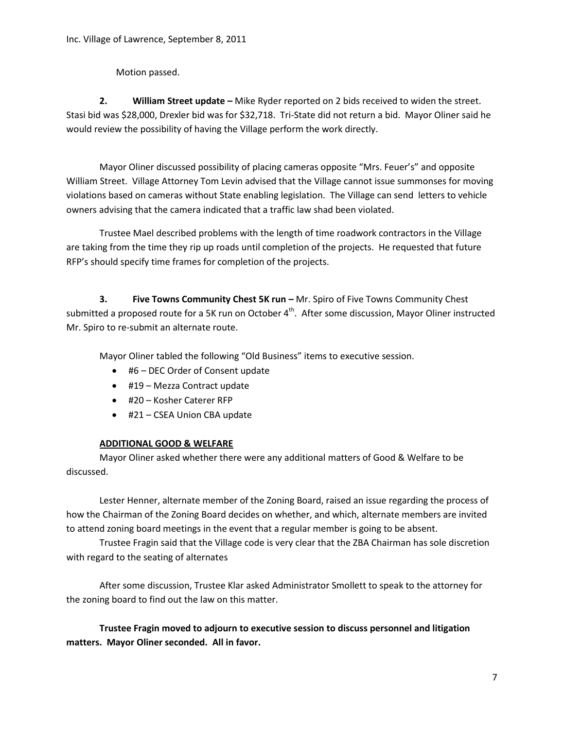Motion passed.

**2. William Street update –** Mike Ryder reported on 2 bids received to widen the street. Stasi bid was \$28,000, Drexler bid was for \$32,718. Tri-State did not return a bid. Mayor Oliner said he would review the possibility of having the Village perform the work directly.

Mayor Oliner discussed possibility of placing cameras opposite "Mrs. Feuer's" and opposite William Street. Village Attorney Tom Levin advised that the Village cannot issue summonses for moving violations based on cameras without State enabling legislation. The Village can send letters to vehicle owners advising that the camera indicated that a traffic law shad been violated.

Trustee Mael described problems with the length of time roadwork contractors in the Village are taking from the time they rip up roads until completion of the projects. He requested that future RFP's should specify time frames for completion of the projects.

**3. Five Towns Community Chest 5K run –** Mr. Spiro of Five Towns Community Chest submitted a proposed route for a 5K run on October 4<sup>th</sup>. After some discussion, Mayor Oliner instructed Mr. Spiro to re-submit an alternate route.

Mayor Oliner tabled the following "Old Business" items to executive session.

- #6 DEC Order of Consent update
- #19 Mezza Contract update
- #20 Kosher Caterer RFP
- #21 CSEA Union CBA update

# **ADDITIONAL GOOD & WELFARE**

Mayor Oliner asked whether there were any additional matters of Good & Welfare to be discussed.

Lester Henner, alternate member of the Zoning Board, raised an issue regarding the process of how the Chairman of the Zoning Board decides on whether, and which, alternate members are invited to attend zoning board meetings in the event that a regular member is going to be absent.

Trustee Fragin said that the Village code is very clear that the ZBA Chairman has sole discretion with regard to the seating of alternates

After some discussion, Trustee Klar asked Administrator Smollett to speak to the attorney for the zoning board to find out the law on this matter.

**Trustee Fragin moved to adjourn to executive session to discuss personnel and litigation matters. Mayor Oliner seconded. All in favor.**